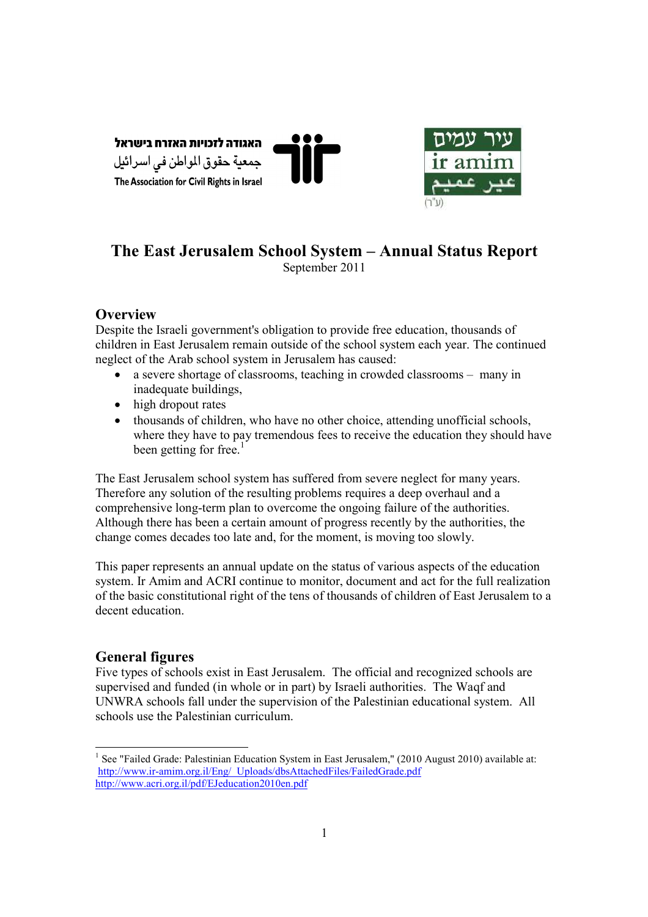



# **The East Jerusalem School System – Annual Status Report**  September 2011

# **Overview**

Despite the Israeli government's obligation to provide free education, thousands of children in East Jerusalem remain outside of the school system each year. The continued neglect of the Arab school system in Jerusalem has caused:

- a severe shortage of classrooms, teaching in crowded classrooms many in inadequate buildings,
- high dropout rates
- thousands of children, who have no other choice, attending unofficial schools, where they have to pay tremendous fees to receive the education they should have been getting for free. $<sup>1</sup>$ </sup>

The East Jerusalem school system has suffered from severe neglect for many years. Therefore any solution of the resulting problems requires a deep overhaul and a comprehensive long-term plan to overcome the ongoing failure of the authorities. Although there has been a certain amount of progress recently by the authorities, the change comes decades too late and, for the moment, is moving too slowly.

This paper represents an annual update on the status of various aspects of the education system. Ir Amim and ACRI continue to monitor, document and act for the full realization of the basic constitutional right of the tens of thousands of children of East Jerusalem to a decent education.

# **General figures**

Five types of schools exist in East Jerusalem. The official and recognized schools are supervised and funded (in whole or in part) by Israeli authorities. The Waqf and UNWRA schools fall under the supervision of the Palestinian educational system. All schools use the Palestinian curriculum.

<sup>-</sup><sup>1</sup> See "Failed Grade: Palestinian Education System in East Jerusalem," (2010 August 2010) available at: http://www.ir-amim.org.il/Eng/\_Uploads/dbsAttachedFiles/FailedGrade.pdf http://www.acri.org.il/pdf/EJeducation2010en.pdf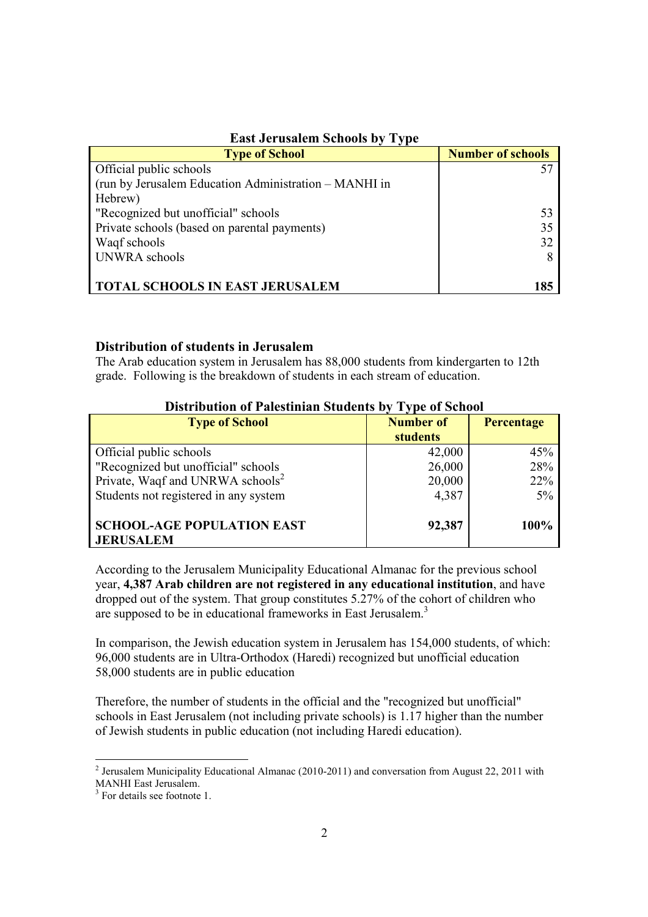| $P_{\text{max}}$ our abaroments by $\mathbf{r}$       |                          |  |  |
|-------------------------------------------------------|--------------------------|--|--|
| <b>Type of School</b>                                 | <b>Number of schools</b> |  |  |
| Official public schools                               |                          |  |  |
| (run by Jerusalem Education Administration – MANHI in |                          |  |  |
| Hebrew)                                               |                          |  |  |
| "Recognized but unofficial" schools                   | 53                       |  |  |
| Private schools (based on parental payments)          | 35                       |  |  |
| Waqf schools                                          | 32                       |  |  |
| UNWRA schools                                         |                          |  |  |
|                                                       |                          |  |  |
| <b>TOTAL SCHOOLS IN EAST JERUSALEM</b>                | 185                      |  |  |

# **East Jerusalem Schools by Type**

### **Distribution of students in Jerusalem**

The Arab education system in Jerusalem has 88,000 students from kindergarten to 12th grade. Following is the breakdown of students in each stream of education.

| Distribution of Falestinian Students by Type of School |                  |            |  |
|--------------------------------------------------------|------------------|------------|--|
| <b>Type of School</b>                                  | <b>Number of</b> | Percentage |  |
|                                                        | <b>students</b>  |            |  |
| Official public schools                                | 42,000           | 45%        |  |
| "Recognized but unofficial" schools                    | 26,000           | 28%        |  |
| Private, Waqf and UNRWA schools <sup>2</sup>           | 20,000           | 22%        |  |
| Students not registered in any system                  | 4,387            | $5\%$      |  |
| <b>SCHOOL-AGE POPULATION EAST</b><br><b>JERUSALEM</b>  | 92,387           | 100%       |  |

# **Distribution of Palestinian Students by Type of School**

According to the Jerusalem Municipality Educational Almanac for the previous school year, **4,387 Arab children are not registered in any educational institution**, and have dropped out of the system. That group constitutes 5.27% of the cohort of children who are supposed to be in educational frameworks in East Jerusalem.<sup>3</sup>

In comparison, the Jewish education system in Jerusalem has 154,000 students, of which: 96,000 students are in Ultra-Orthodox (Haredi) recognized but unofficial education 58,000 students are in public education

Therefore, the number of students in the official and the "recognized but unofficial" schools in East Jerusalem (not including private schools) is 1.17 higher than the number of Jewish students in public education (not including Haredi education).

<sup>&</sup>lt;sup>2</sup> Jerusalem Municipality Educational Almanac (2010-2011) and conversation from August 22, 2011 with MANHI East Jerusalem.

<sup>&</sup>lt;sup>3</sup> For details see footnote 1.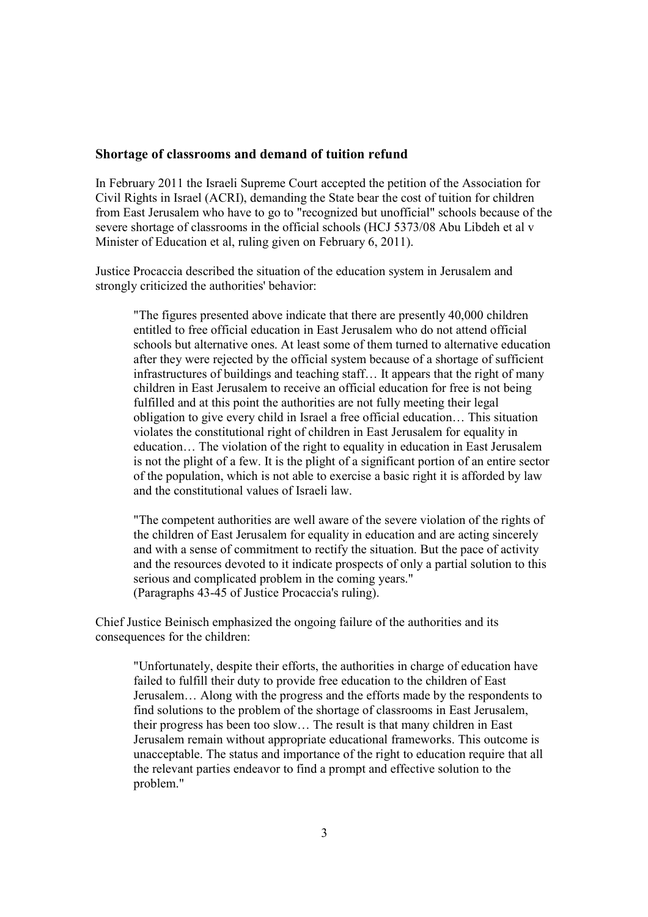#### **Shortage of classrooms and demand of tuition refund**

In February 2011 the Israeli Supreme Court accepted the petition of the Association for Civil Rights in Israel (ACRI), demanding the State bear the cost of tuition for children from East Jerusalem who have to go to "recognized but unofficial" schools because of the severe shortage of classrooms in the official schools (HCJ 5373/08 Abu Libdeh et al v Minister of Education et al, ruling given on February 6, 2011).

Justice Procaccia described the situation of the education system in Jerusalem and strongly criticized the authorities' behavior:

"The figures presented above indicate that there are presently 40,000 children entitled to free official education in East Jerusalem who do not attend official schools but alternative ones. At least some of them turned to alternative education after they were rejected by the official system because of a shortage of sufficient infrastructures of buildings and teaching staff… It appears that the right of many children in East Jerusalem to receive an official education for free is not being fulfilled and at this point the authorities are not fully meeting their legal obligation to give every child in Israel a free official education… This situation violates the constitutional right of children in East Jerusalem for equality in education… The violation of the right to equality in education in East Jerusalem is not the plight of a few. It is the plight of a significant portion of an entire sector of the population, which is not able to exercise a basic right it is afforded by law and the constitutional values of Israeli law.

"The competent authorities are well aware of the severe violation of the rights of the children of East Jerusalem for equality in education and are acting sincerely and with a sense of commitment to rectify the situation. But the pace of activity and the resources devoted to it indicate prospects of only a partial solution to this serious and complicated problem in the coming years." (Paragraphs 43-45 of Justice Procaccia's ruling).

Chief Justice Beinisch emphasized the ongoing failure of the authorities and its consequences for the children:

"Unfortunately, despite their efforts, the authorities in charge of education have failed to fulfill their duty to provide free education to the children of East Jerusalem… Along with the progress and the efforts made by the respondents to find solutions to the problem of the shortage of classrooms in East Jerusalem, their progress has been too slow… The result is that many children in East Jerusalem remain without appropriate educational frameworks. This outcome is unacceptable. The status and importance of the right to education require that all the relevant parties endeavor to find a prompt and effective solution to the problem."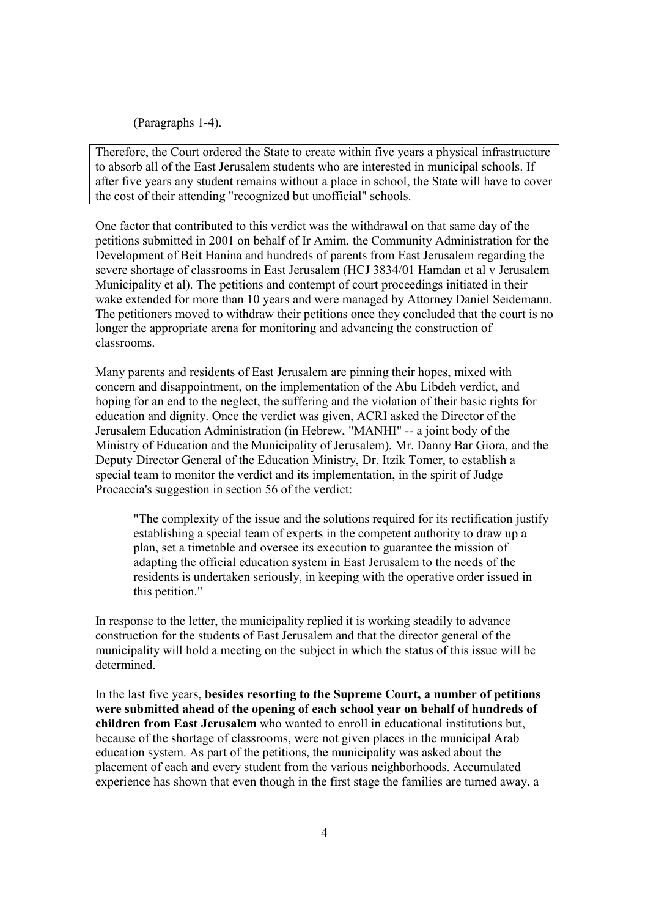(Paragraphs 1-4).

Therefore, the Court ordered the State to create within five years a physical infrastructure to absorb all of the East Jerusalem students who are interested in municipal schools. If after five years any student remains without a place in school, the State will have to cover the cost of their attending "recognized but unofficial" schools.

One factor that contributed to this verdict was the withdrawal on that same day of the petitions submitted in 2001 on behalf of Ir Amim, the Community Administration for the Development of Beit Hanina and hundreds of parents from East Jerusalem regarding the severe shortage of classrooms in East Jerusalem (HCJ 3834/01 Hamdan et al v Jerusalem Municipality et al). The petitions and contempt of court proceedings initiated in their wake extended for more than 10 years and were managed by Attorney Daniel Seidemann. The petitioners moved to withdraw their petitions once they concluded that the court is no longer the appropriate arena for monitoring and advancing the construction of classrooms.

Many parents and residents of East Jerusalem are pinning their hopes, mixed with concern and disappointment, on the implementation of the Abu Libdeh verdict, and hoping for an end to the neglect, the suffering and the violation of their basic rights for education and dignity. Once the verdict was given, ACRI asked the Director of the Jerusalem Education Administration (in Hebrew, "MANHI" -- a joint body of the Ministry of Education and the Municipality of Jerusalem), Mr. Danny Bar Giora, and the Deputy Director General of the Education Ministry, Dr. Itzik Tomer, to establish a special team to monitor the verdict and its implementation, in the spirit of Judge Procaccia's suggestion in section 56 of the verdict:

"The complexity of the issue and the solutions required for its rectification justify establishing a special team of experts in the competent authority to draw up a plan, set a timetable and oversee its execution to guarantee the mission of adapting the official education system in East Jerusalem to the needs of the residents is undertaken seriously, in keeping with the operative order issued in this petition."

In response to the letter, the municipality replied it is working steadily to advance construction for the students of East Jerusalem and that the director general of the municipality will hold a meeting on the subject in which the status of this issue will be determined.

In the last five years, **besides resorting to the Supreme Court, a number of petitions were submitted ahead of the opening of each school year on behalf of hundreds of children from East Jerusalem** who wanted to enroll in educational institutions but, because of the shortage of classrooms, were not given places in the municipal Arab education system. As part of the petitions, the municipality was asked about the placement of each and every student from the various neighborhoods. Accumulated experience has shown that even though in the first stage the families are turned away, a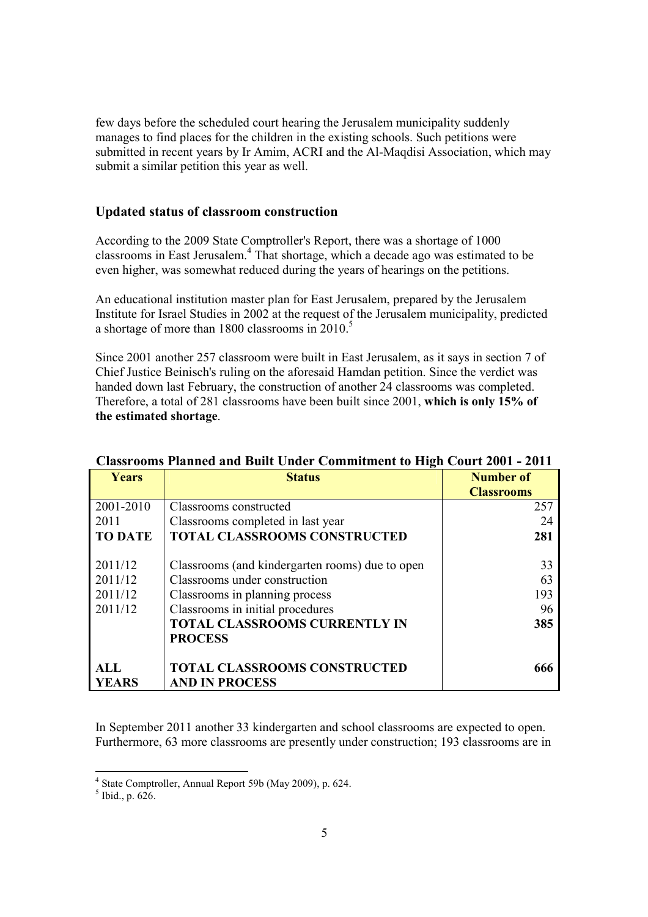few days before the scheduled court hearing the Jerusalem municipality suddenly manages to find places for the children in the existing schools. Such petitions were submitted in recent years by Ir Amim, ACRI and the Al-Maqdisi Association, which may submit a similar petition this year as well.

## **Updated status of classroom construction**

According to the 2009 State Comptroller's Report, there was a shortage of 1000 classrooms in East Jerusalem.<sup>4</sup> That shortage, which a decade ago was estimated to be even higher, was somewhat reduced during the years of hearings on the petitions.

An educational institution master plan for East Jerusalem, prepared by the Jerusalem Institute for Israel Studies in 2002 at the request of the Jerusalem municipality, predicted a shortage of more than 1800 classrooms in  $2010<sup>5</sup>$ 

Since 2001 another 257 classroom were built in East Jerusalem, as it says in section 7 of Chief Justice Beinisch's ruling on the aforesaid Hamdan petition. Since the verdict was handed down last February, the construction of another 24 classrooms was completed. Therefore, a total of 281 classrooms have been built since 2001, **which is only 15% of the estimated shortage**.

| Years          | <b>Status</b>                                                | <b>Number of</b><br><b>Classrooms</b> |
|----------------|--------------------------------------------------------------|---------------------------------------|
| 2001-2010      | Classrooms constructed                                       | 257                                   |
| 2011           | Classrooms completed in last year                            | 24                                    |
| <b>TO DATE</b> | <b>TOTAL CLASSROOMS CONSTRUCTED</b>                          | 281                                   |
| 2011/12        | Classrooms (and kindergarten rooms) due to open              | 33                                    |
| 2011/12        | Classrooms under construction                                | 63                                    |
| 2011/12        | Classrooms in planning process                               | 193                                   |
| 2011/12        | Classrooms in initial procedures                             | 96                                    |
|                | <b>TOTAL CLASSROOMS CURRENTLY IN</b><br><b>PROCESS</b>       | 385                                   |
| ALL<br>YEARS   | <b>TOTAL CLASSROOMS CONSTRUCTED</b><br><b>AND IN PROCESS</b> |                                       |

## **Classrooms Planned and Built Under Commitment to High Court 2001 - 2011**

In September 2011 another 33 kindergarten and school classrooms are expected to open. Furthermore, 63 more classrooms are presently under construction; 193 classrooms are in

 4 State Comptroller, Annual Report 59b (May 2009), p. 624.

 $<sup>5</sup>$  Ibid., p. 626.</sup>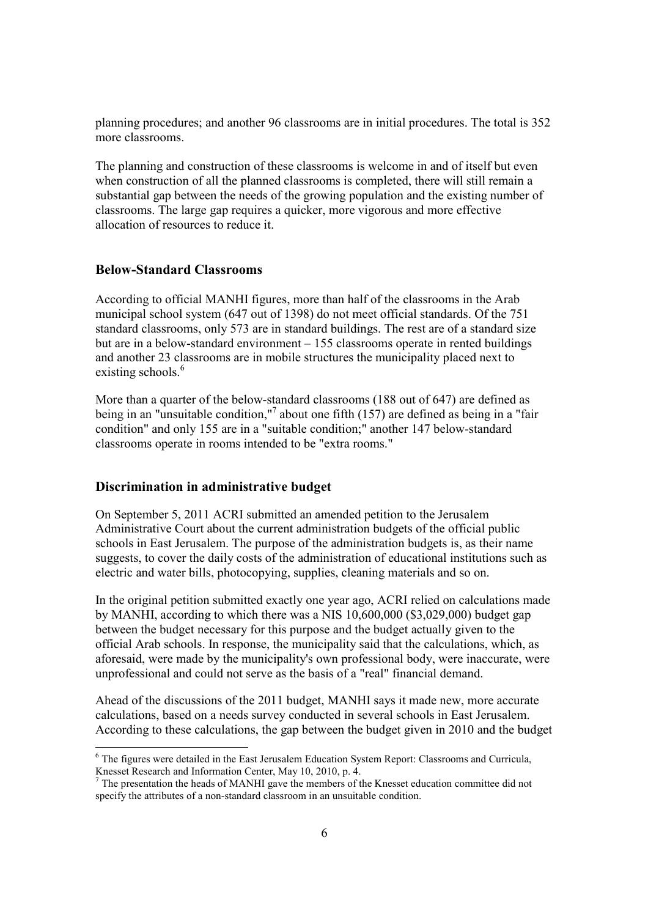planning procedures; and another 96 classrooms are in initial procedures. The total is 352 more classrooms.

The planning and construction of these classrooms is welcome in and of itself but even when construction of all the planned classrooms is completed, there will still remain a substantial gap between the needs of the growing population and the existing number of classrooms. The large gap requires a quicker, more vigorous and more effective allocation of resources to reduce it.

### **Below-Standard Classrooms**

According to official MANHI figures, more than half of the classrooms in the Arab municipal school system (647 out of 1398) do not meet official standards. Of the 751 standard classrooms, only 573 are in standard buildings. The rest are of a standard size but are in a below-standard environment – 155 classrooms operate in rented buildings and another 23 classrooms are in mobile structures the municipality placed next to existing schools.<sup>6</sup>

More than a quarter of the below-standard classrooms (188 out of 647) are defined as being in an "unsuitable condition,"<sup>7</sup> about one fifth (157) are defined as being in a "fair condition" and only 155 are in a "suitable condition;" another 147 below-standard classrooms operate in rooms intended to be "extra rooms."

#### **Discrimination in administrative budget**

-

On September 5, 2011 ACRI submitted an amended petition to the Jerusalem Administrative Court about the current administration budgets of the official public schools in East Jerusalem. The purpose of the administration budgets is, as their name suggests, to cover the daily costs of the administration of educational institutions such as electric and water bills, photocopying, supplies, cleaning materials and so on.

In the original petition submitted exactly one year ago, ACRI relied on calculations made by MANHI, according to which there was a NIS 10,600,000 (\$3,029,000) budget gap between the budget necessary for this purpose and the budget actually given to the official Arab schools. In response, the municipality said that the calculations, which, as aforesaid, were made by the municipality's own professional body, were inaccurate, were unprofessional and could not serve as the basis of a "real" financial demand.

Ahead of the discussions of the 2011 budget, MANHI says it made new, more accurate calculations, based on a needs survey conducted in several schools in East Jerusalem. According to these calculations, the gap between the budget given in 2010 and the budget

<sup>&</sup>lt;sup>6</sup> The figures were detailed in the East Jerusalem Education System Report: Classrooms and Curricula, Knesset Research and Information Center, May 10, 2010, p. 4.

 $<sup>7</sup>$  The presentation the heads of MANHI gave the members of the Knesset education committee did not</sup> specify the attributes of a non-standard classroom in an unsuitable condition.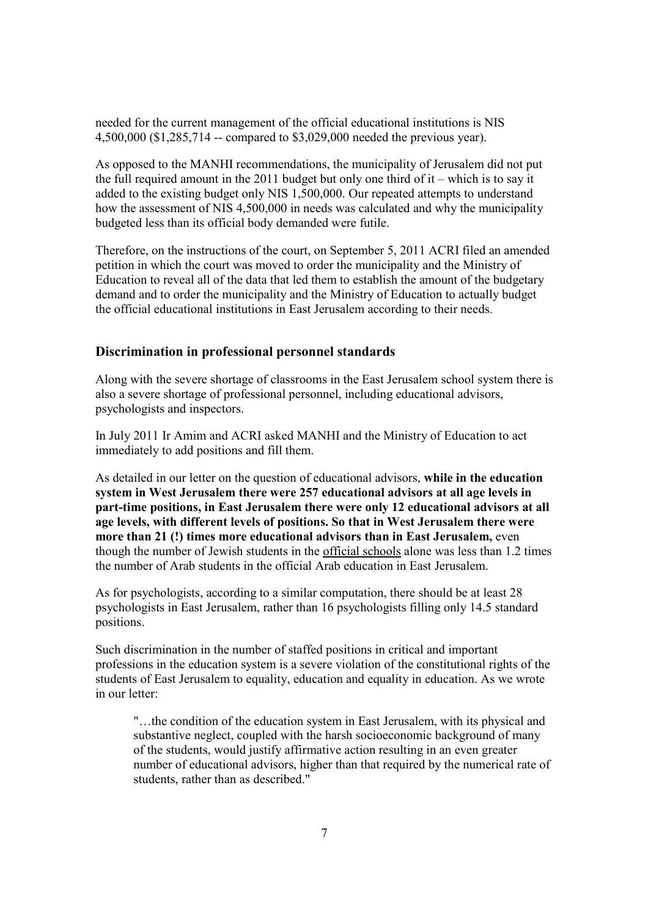needed for the current management of the official educational institutions is NIS 4,500,000 (\$1,285,714 -- compared to \$3,029,000 needed the previous year).

As opposed to the MANHI recommendations, the municipality of Jerusalem did not put the full required amount in the 2011 budget but only one third of  $it$  – which is to say it added to the existing budget only NIS 1,500,000. Our repeated attempts to understand how the assessment of NIS 4,500,000 in needs was calculated and why the municipality budgeted less than its official body demanded were futile.

Therefore, on the instructions of the court, on September 5, 2011 ACRI filed an amended petition in which the court was moved to order the municipality and the Ministry of Education to reveal all of the data that led them to establish the amount of the budgetary demand and to order the municipality and the Ministry of Education to actually budget the official educational institutions in East Jerusalem according to their needs.

## **Discrimination in professional personnel standards**

Along with the severe shortage of classrooms in the East Jerusalem school system there is also a severe shortage of professional personnel, including educational advisors, psychologists and inspectors.

In July 2011 Ir Amim and ACRI asked MANHI and the Ministry of Education to act immediately to add positions and fill them.

As detailed in our letter on the question of educational advisors, **while in the education system in West Jerusalem there were 257 educational advisors at all age levels in part-time positions, in East Jerusalem there were only 12 educational advisors at all age levels, with different levels of positions. So that in West Jerusalem there were more than 21 (!) times more educational advisors than in East Jerusalem,** even though the number of Jewish students in the official schools alone was less than 1.2 times the number of Arab students in the official Arab education in East Jerusalem.

As for psychologists, according to a similar computation, there should be at least 28 psychologists in East Jerusalem, rather than 16 psychologists filling only 14.5 standard positions.

Such discrimination in the number of staffed positions in critical and important professions in the education system is a severe violation of the constitutional rights of the students of East Jerusalem to equality, education and equality in education. As we wrote in our letter:

"…the condition of the education system in East Jerusalem, with its physical and substantive neglect, coupled with the harsh socioeconomic background of many of the students, would justify affirmative action resulting in an even greater number of educational advisors, higher than that required by the numerical rate of students, rather than as described."